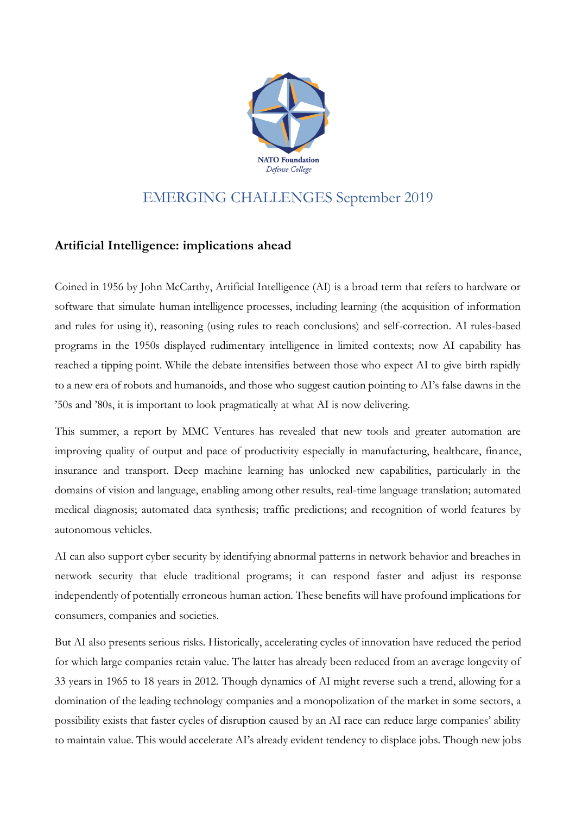

## EMERGING CHALLENGES September 2019

## **Artificial Intelligence: implications ahead**

Coined in 1956 by John McCarthy, Artificial Intelligence (AI) is a broad term that refers to hardware or software that simulate human intelligence processes, including learning (the acquisition of information and rules for using it), reasoning (using rules to reach conclusions) and self-correction. AI rules-based programs in the 1950s displayed rudimentary intelligence in limited contexts; now AI capability has reached a tipping point. While the debate intensifies between those who expect AI to give birth rapidly to a new era of robots and humanoids, and those who suggest caution pointing to AI's false dawns in the '50s and '80s, it is important to look pragmatically at what AI is now delivering.

This summer, a report by MMC Ventures has revealed that new tools and greater automation are improving quality of output and pace of productivity especially in manufacturing, healthcare, finance, insurance and transport. Deep machine learning has unlocked new capabilities, particularly in the domains of vision and language, enabling among other results, real-time language translation; automated medical diagnosis; automated data synthesis; traffic predictions; and recognition of world features by autonomous vehicles.

AI can also support cyber security by identifying abnormal patterns in network behavior and breaches in network security that elude traditional programs; it can respond faster and adjust its response independently of potentially erroneous human action. These benefits will have profound implications for consumers, companies and societies.

But AI also presents serious risks. Historically, accelerating cycles of innovation have reduced the period for which large companies retain value. The latter has already been reduced from an average longevity of 33 years in 1965 to 18 years in 2012. Though dynamics of AI might reverse such a trend, allowing for a domination of the leading technology companies and a monopolization of the market in some sectors, a possibility exists that faster cycles of disruption caused by an AI race can reduce large companies' ability to maintain value. This would accelerate AI's already evident tendency to displace jobs. Though new jobs